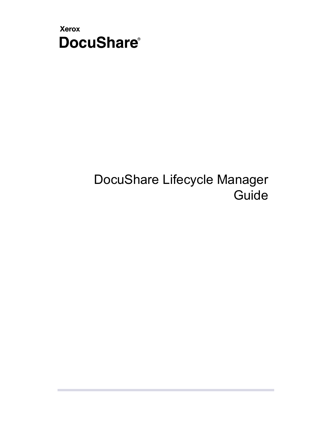

# DocuShare Lifecycle Manager Guide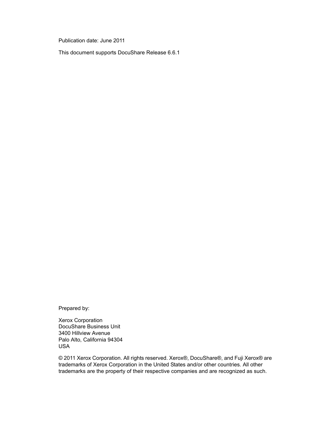Publication date: June 2011

This document supports DocuShare Release 6.6.1

Prepared by:

Xerox Corporation DocuShare Business Unit 3400 Hillview Avenue Palo Alto, California 94304 USA

© 2011 Xerox Corporation. All rights reserved. Xerox®, DocuShare®, and Fuji Xerox® are trademarks of Xerox Corporation in the United States and/or other countries. All other trademarks are the property of their respective companies and are recognized as such.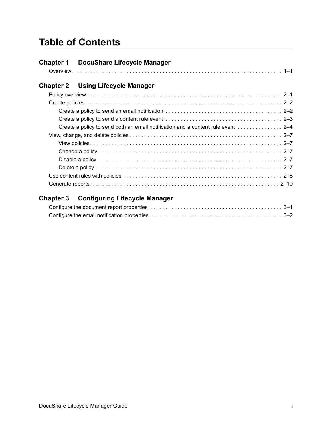## **Table of Contents**

| <b>Chapter 1</b> | DocuShare Lifecycle Manager |  |
|------------------|-----------------------------|--|
|                  |                             |  |
| <b>Chapter 2</b> | Using Lifecycle Manager     |  |
|                  |                             |  |
|                  |                             |  |
|                  |                             |  |
|                  |                             |  |
|                  |                             |  |
|                  |                             |  |
|                  |                             |  |
|                  |                             |  |
|                  |                             |  |
|                  |                             |  |
|                  |                             |  |
|                  |                             |  |

#### **[Chapter 3 Configuring Lifecycle Manager](#page-16-0)**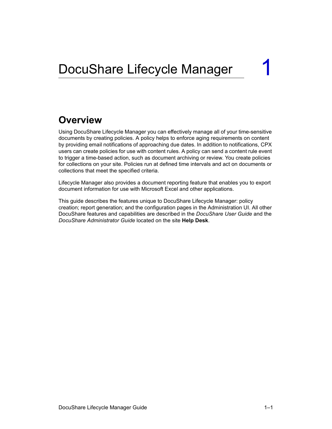### <span id="page-4-1"></span><span id="page-4-0"></span>**Overview**

Using DocuShare Lifecycle Manager you can effectively manage all of your time-sensitive documents by creating policies. A policy helps to enforce aging requirements on content by providing email notifications of approaching due dates. In addition to notifications, CPX users can create policies for use with content rules. A policy can send a content rule event to trigger a time-based action, such as document archiving or review. You create policies for collections on your site. Policies run at defined time intervals and act on documents or collections that meet the specified criteria.

Lifecycle Manager also provides a document reporting feature that enables you to export document information for use with Microsoft Excel and other applications.

This guide describes the features unique to DocuShare Lifecycle Manager: policy creation; report generation; and the configuration pages in the Administration UI. All other DocuShare features and capabilities are described in the *DocuShare User Guide* and the *DocuShare Administrator Guide* located on the site **Help Desk**.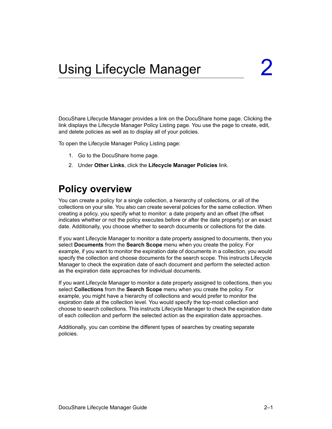<span id="page-6-0"></span>DocuShare Lifecycle Manager provides a link on the DocuShare home page. Clicking the link displays the Lifecycle Manager Policy Listing page. You use the page to create, edit, and delete policies as well as to display all of your policies.

To open the Lifecycle Manager Policy Listing page:

- 1. Go to the DocuShare home page.
- 2. Under **Other Links**, click the **Lifecycle Manager Policies** link.

### <span id="page-6-1"></span>**Policy overview**

You can create a policy for a single collection, a hierarchy of collections, or all of the collections on your site. You also can create several policies for the same collection. When creating a policy, you specify what to monitor: a date property and an offset (the offset indicates whether or not the policy executes before or after the date property) or an exact date. Additionally, you choose whether to search documents or collections for the date.

If you want Lifecycle Manager to monitor a date property assigned to documents, then you select **Documents** from the **Search Scope** menu when you create the policy. For example, if you want to monitor the expiration date of documents in a collection, you would specify the collection and choose documents for the search scope. This instructs Lifecycle Manager to check the expiration date of each document and perform the selected action as the expiration date approaches for individual documents.

If you want Lifecycle Manager to monitor a date property assigned to collections, then you select **Collections** from the **Search Scope** menu when you create the policy. For example, you might have a hierarchy of collections and would prefer to monitor the expiration date at the collection level. You would specify the top-most collection and choose to search collections. This instructs Lifecycle Manager to check the expiration date of each collection and perform the selected action as the expiration date approaches.

Additionally, you can combine the different types of searches by creating separate policies.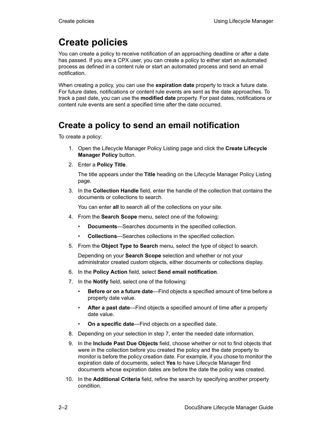# <span id="page-7-0"></span>**Create policies**

You can create a policy to receive notification of an approaching deadline or after a date has passed. If you are a CPX user, you can create a policy to either start an automated process as defined in a content rule or start an automated process and send an email notification.

When creating a policy, you can use the **expiration date** property to track a future date. For future dates, notifications or content rule events are sent as the date approaches. To track a past date, you can use the **modified date** property. For past dates, notifications or content rule events are sent a specified time after the date occurred.

### <span id="page-7-1"></span>**Create a policy to send an email notification**

To create a policy:

- 1. Open the Lifecycle Manager Policy Listing page and click the **Create Lifecycle Manager Policy** button.
- 2. Enter a **Policy Title**.

The title appears under the **Title** heading on the Lifecycle Manager Policy Listing page.

3. In the **Collection Handle** field, enter the handle of the collection that contains the documents or collections to search.

You can enter **all** to search all of the collections on your site.

- 4. From the **Search Scope** menu, select one of the following:
	- **Documents**—Searches documents in the specified collection.
	- **Collections**—Searches collections in the specified collection.
- 5. From the **Object Type to Search** menu, select the type of object to search.

Depending on your **Search Scope** selection and whether or not your administrator created custom objects, either documents or collections display.

- 6. In the **Policy Action** field, select **Send email notification**.
- 7. In the **Notify** field, select one of the following:
	- **Before or on a future date**—Find objects a specified amount of time before a property date value.
	- **After a past date**—Find objects a specified amount of time after a property date value.
	- **On a specific date**—Find objects on a specified date.
- 8. Depending on your selection in step 7, enter the needed date information.
- 9. In the **Include Past Due Objects** field, choose whether or not to find objects that were in the collection before you created the policy and the date property to monitor is before the policy creation date. For example, if you chose to monitor the expiration date of documents, select **Yes** to have Lifecycle Manager find documents whose expiration dates are before the date the policy was created.
- 10. In the **Additional Criteria** field, refine the search by specifying another property condition.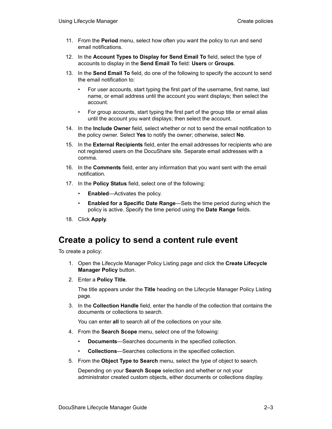- 11. From the **Period** menu, select how often you want the policy to run and send email notifications.
- 12. In the **Account Types to Display for Send Email To** field, select the type of accounts to display in the **Send Email To** field: **Users** or **Groups**.
- 13. In the **Send Email To** field, do one of the following to specify the account to send the email notification to:
	- For user accounts, start typing the first part of the username, first name, last name, or email address until the account you want displays; then select the account.
	- For group accounts, start typing the first part of the group title or email alias until the account you want displays; then select the account.
- 14. In the **Include Owner** field, select whether or not to send the email notification to the policy owner. Select **Yes** to notify the owner; otherwise, select **No**.
- 15. In the **External Recipients** field, enter the email addresses for recipients who are not registered users on the DocuShare site. Separate email addresses with a comma.
- 16. In the **Comments** field, enter any information that you want sent with the email notification.
- 17. In the **Policy Status** field, select one of the following:
	- **Enabled**—Activates the policy.
	- **Enabled for a Specific Date Range**—Sets the time period during which the policy is active. Specify the time period using the **Date Range** fields.
- 18. Click **Apply**.

#### <span id="page-8-0"></span>**Create a policy to send a content rule event**

To create a policy:

- 1. Open the Lifecycle Manager Policy Listing page and click the **Create Lifecycle Manager Policy** button.
- 2. Enter a **Policy Title**.

The title appears under the **Title** heading on the Lifecycle Manager Policy Listing page.

3. In the **Collection Handle** field, enter the handle of the collection that contains the documents or collections to search.

You can enter **all** to search all of the collections on your site.

- 4. From the **Search Scope** menu, select one of the following:
	- **Documents**—Searches documents in the specified collection.
	- **Collections**—Searches collections in the specified collection.
- 5. From the **Object Type to Search** menu, select the type of object to search.

Depending on your **Search Scope** selection and whether or not your administrator created custom objects, either documents or collections display.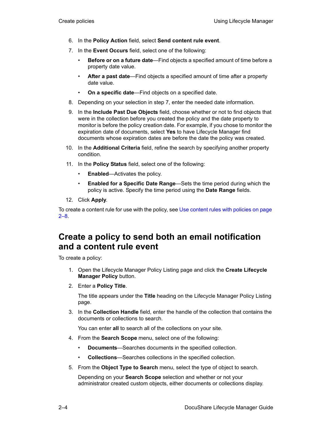- 6. In the **Policy Action** field, select **Send content rule event**.
- 7. In the **Event Occurs** field, select one of the following:
	- **Before or on a future date**—Find objects a specified amount of time before a property date value.
	- **After a past date**—Find objects a specified amount of time after a property date value.
	- **On a specific date**—Find objects on a specified date.
- 8. Depending on your selection in step 7, enter the needed date information.
- 9. In the **Include Past Due Objects** field, choose whether or not to find objects that were in the collection before you created the policy and the date property to monitor is before the policy creation date. For example, if you chose to monitor the expiration date of documents, select **Yes** to have Lifecycle Manager find documents whose expiration dates are before the date the policy was created.
- 10. In the **Additional Criteria** field, refine the search by specifying another property condition.
- 11. In the **Policy Status** field, select one of the following:
	- **Enabled**—Activates the policy.
	- **Enabled for a Specific Date Range**—Sets the time period during which the policy is active. Specify the time period using the **Date Range** fields.
- 12. Click **Apply**.

To create a content rule for use with the policy, see [Use content rules with policies on page](#page-13-0)  [2–8.](#page-13-0)

#### <span id="page-9-0"></span>**Create a policy to send both an email notification and a content rule event**

To create a policy:

- 1. Open the Lifecycle Manager Policy Listing page and click the **Create Lifecycle Manager Policy** button.
- 2. Enter a **Policy Title**.

The title appears under the **Title** heading on the Lifecycle Manager Policy Listing page.

3. In the **Collection Handle** field, enter the handle of the collection that contains the documents or collections to search.

You can enter **all** to search all of the collections on your site.

- 4. From the **Search Scope** menu, select one of the following:
	- **Documents**—Searches documents in the specified collection.
	- **Collections**—Searches collections in the specified collection.
- 5. From the **Object Type to Search** menu, select the type of object to search.

Depending on your **Search Scope** selection and whether or not your administrator created custom objects, either documents or collections display.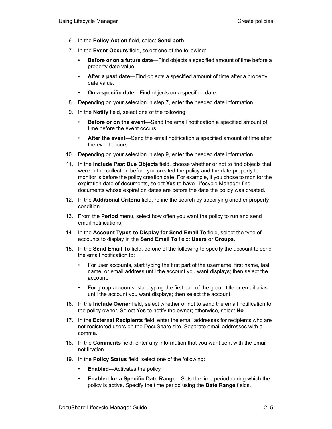- 6. In the **Policy Action** field, select **Send both**.
- 7. In the **Event Occurs** field, select one of the following:
	- **Before or on a future date**—Find objects a specified amount of time before a property date value.
	- **After a past date**—Find objects a specified amount of time after a property date value.
	- **On a specific date**—Find objects on a specified date.
- 8. Depending on your selection in step 7, enter the needed date information.
- 9. In the **Notify** field, select one of the following:
	- **Before or on the event**—Send the email notification a specified amount of time before the event occurs.
	- **After the event**—Send the email notification a specified amount of time after the event occurs.
- 10. Depending on your selection in step 9, enter the needed date information.
- 11. In the **Include Past Due Objects** field, choose whether or not to find objects that were in the collection before you created the policy and the date property to monitor is before the policy creation date. For example, if you chose to monitor the expiration date of documents, select **Yes** to have Lifecycle Manager find documents whose expiration dates are before the date the policy was created.
- 12. In the **Additional Criteria** field, refine the search by specifying another property condition.
- 13. From the **Period** menu, select how often you want the policy to run and send email notifications.
- 14. In the **Account Types to Display for Send Email To** field, select the type of accounts to display in the **Send Email To** field: **Users** or **Groups**.
- 15. In the **Send Email To** field, do one of the following to specify the account to send the email notification to:
	- For user accounts, start typing the first part of the username, first name, last name, or email address until the account you want displays; then select the account.
	- For group accounts, start typing the first part of the group title or email alias until the account you want displays; then select the account.
- 16. In the **Include Owner** field, select whether or not to send the email notification to the policy owner. Select **Yes** to notify the owner; otherwise, select **No**.
- 17. In the **External Recipients** field, enter the email addresses for recipients who are not registered users on the DocuShare site. Separate email addresses with a comma.
- 18. In the **Comments** field, enter any information that you want sent with the email notification.
- 19. In the **Policy Status** field, select one of the following:
	- **Enabled**—Activates the policy.
	- **Enabled for a Specific Date Range**—Sets the time period during which the policy is active. Specify the time period using the **Date Range** fields.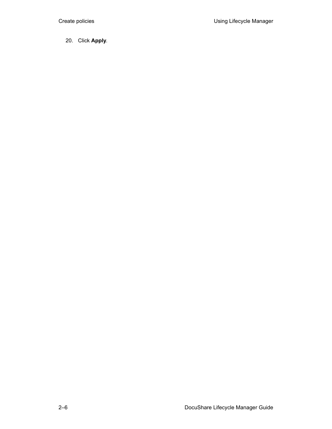20. Click **Apply**.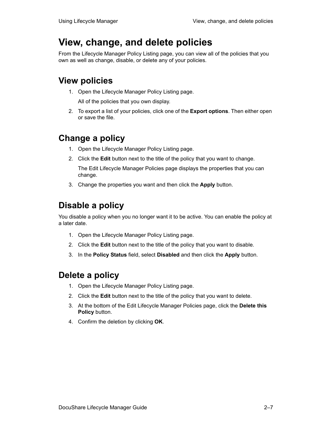### <span id="page-12-0"></span>**View, change, and delete policies**

From the Lifecycle Manager Policy Listing page, you can view all of the policies that you own as well as change, disable, or delete any of your policies.

#### <span id="page-12-1"></span>**View policies**

1. Open the Lifecycle Manager Policy Listing page.

All of the policies that you own display.

2. To export a list of your policies, click one of the **Export options**. Then either open or save the file.

#### <span id="page-12-2"></span>**Change a policy**

- 1. Open the Lifecycle Manager Policy Listing page.
- 2. Click the **Edit** button next to the title of the policy that you want to change.

The Edit Lifecycle Manager Policies page displays the properties that you can change.

3. Change the properties you want and then click the **Apply** button.

#### <span id="page-12-3"></span>**Disable a policy**

You disable a policy when you no longer want it to be active. You can enable the policy at a later date.

- 1. Open the Lifecycle Manager Policy Listing page.
- 2. Click the **Edit** button next to the title of the policy that you want to disable.
- 3. In the **Policy Status** field, select **Disabled** and then click the **Apply** button.

#### <span id="page-12-4"></span>**Delete a policy**

- 1. Open the Lifecycle Manager Policy Listing page.
- 2. Click the **Edit** button next to the title of the policy that you want to delete.
- 3. At the bottom of the Edit Lifecycle Manager Policies page, click the **Delete this Policy** button.
- 4. Confirm the deletion by clicking **OK**.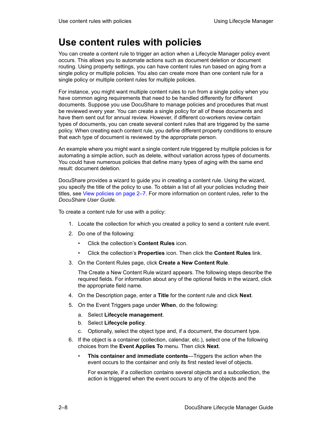### <span id="page-13-0"></span>**Use content rules with policies**

You can create a content rule to trigger an action when a Lifecycle Manager policy event occurs. This allows you to automate actions such as document deletion or document routing. Using property settings, you can have content rules run based on aging from a single policy or multiple policies. You also can create more than one content rule for a single policy or multiple content rules for multiple policies.

For instance, you might want multiple content rules to run from a single policy when you have common aging requirements that need to be handled differently for different documents. Suppose you use DocuShare to manage policies and procedures that must be reviewed every year. You can create a single policy for all of these documents and have them sent out for annual review. However, if different co-workers review certain types of documents, you can create several content rules that are triggered by the same policy. When creating each content rule, you define different property conditions to ensure that each type of document is reviewed by the appropriate person.

An example where you might want a single content rule triggered by multiple policies is for automating a simple action, such as delete, without variation across types of documents. You could have numerous policies that define many types of aging with the same end result: document deletion.

DocuShare provides a wizard to guide you in creating a content rule. Using the wizard, you specify the title of the policy to use. To obtain a list of all your policies including their titles, see [View policies on page 2–7.](#page-12-1) For more information on content rules, refer to the *DocuShare User Guide*.

To create a content rule for use with a policy:

- 1. Locate the collection for which you created a policy to send a content rule event.
- 2. Do one of the following:
	- Click the collection's **Content Rules** icon.
	- Click the collection's **Properties** icon. Then click the **Content Rules** link.
- 3. On the Content Rules page, click **Create a New Content Rule**.

The Create a New Content Rule wizard appears. The following steps describe the required fields. For information about any of the optional fields in the wizard, click the appropriate field name.

- 4. On the Description page, enter a **Title** for the content rule and click **Next**.
- 5. On the Event Triggers page under **When**, do the following:
	- a. Select **Lifecycle management**.
	- b. Select **Lifecycle policy**.
	- c. Optionally, select the object type and, if a document, the document type.
- 6. If the object is a container (collection, calendar, etc.), select one of the following choices from the **Event Applies To** menu. Then click **Next**.
	- **This container and immediate contents**—Triggers the action when the event occurs to the container and only its first nested level of objects.

For example, if a collection contains several objects and a subcollection, the action is triggered when the event occurs to any of the objects and the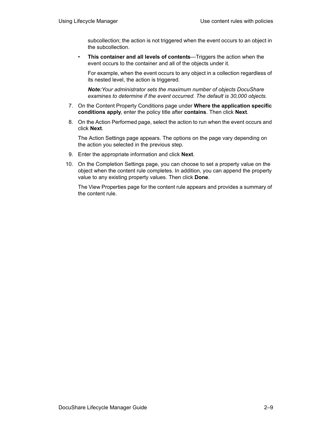subcollection; the action is not triggered when the event occurs to an object in the subcollection.

• **This container and all levels of contents**—Triggers the action when the event occurs to the container and all of the objects under it.

For example, when the event occurs to any object in a collection regardless of its nested level, the action is triggered.

*Note:Your administrator sets the maximum number of objects DocuShare examines to determine if the event occurred. The default is 30,000 objects.*

- 7. On the Content Property Conditions page under **Where the application specific conditions apply**, enter the policy title after **contains**. Then click **Next**.
- 8. On the Action Performed page, select the action to run when the event occurs and click **Next**.

The Action Settings page appears. The options on the page vary depending on the action you selected in the previous step.

- 9. Enter the appropriate information and click **Next**.
- 10. On the Completion Settings page, you can choose to set a property value on the object when the content rule completes. In addition, you can append the property value to any existing property values. Then click **Done**.

The View Properties page for the content rule appears and provides a summary of the content rule.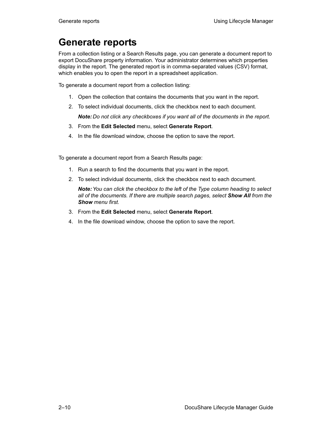### <span id="page-15-0"></span>**Generate reports**

From a collection listing or a Search Results page, you can generate a document report to export DocuShare property information. Your administrator determines which properties display in the report. The generated report is in comma-separated values (CSV) format, which enables you to open the report in a spreadsheet application.

To generate a document report from a collection listing:

- 1. Open the collection that contains the documents that you want in the report.
- 2. To select individual documents, click the checkbox next to each document.

*Note: Do not click any checkboxes if you want all of the documents in the report.*

- 3. From the **Edit Selected** menu, select **Generate Report**.
- 4. In the file download window, choose the option to save the report.

To generate a document report from a Search Results page:

- 1. Run a search to find the documents that you want in the report.
- 2. To select individual documents, click the checkbox next to each document.

*Note:You can click the checkbox to the left of the Type column heading to select all of the documents. If there are multiple search pages, select Show All from the Show menu first.*

- 3. From the **Edit Selected** menu, select **Generate Report**.
- 4. In the file download window, choose the option to save the report.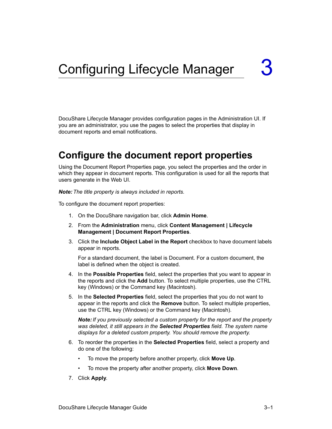<span id="page-16-0"></span>DocuShare Lifecycle Manager provides configuration pages in the Administration UI. If you are an administrator, you use the pages to select the properties that display in document reports and email notifications.

#### <span id="page-16-1"></span>**Configure the document report properties**

Using the Document Report Properties page, you select the properties and the order in which they appear in document reports. This configuration is used for all the reports that users generate in the Web UI.

*Note:The title property is always included in reports.*

To configure the document report properties:

- 1. On the DocuShare navigation bar, click **Admin Home**.
- 2. From the **Administration** menu, click **Content Management | Lifecycle Management | Document Report Properties**.
- 3. Click the **Include Object Label in the Report** checkbox to have document labels appear in reports.

For a standard document, the label is Document. For a custom document, the label is defined when the object is created.

- 4. In the **Possible Properties** field, select the properties that you want to appear in the reports and click the **Add** button. To select multiple properties, use the CTRL key (Windows) or the Command key (Macintosh).
- 5. In the **Selected Properties** field, select the properties that you do not want to appear in the reports and click the **Remove** button. To select multiple properties, use the CTRL key (Windows) or the Command key (Macintosh).

*Note:If you previously selected a custom property for the report and the property was deleted, it still appears in the Selected Properties field. The system name displays for a deleted custom property. You should remove the property.*

- 6. To reorder the properties in the **Selected Properties** field, select a property and do one of the following:
	- To move the property before another property, click **Move Up**.
	- To move the property after another property, click **Move Down**.
- 7. Click **Apply**.